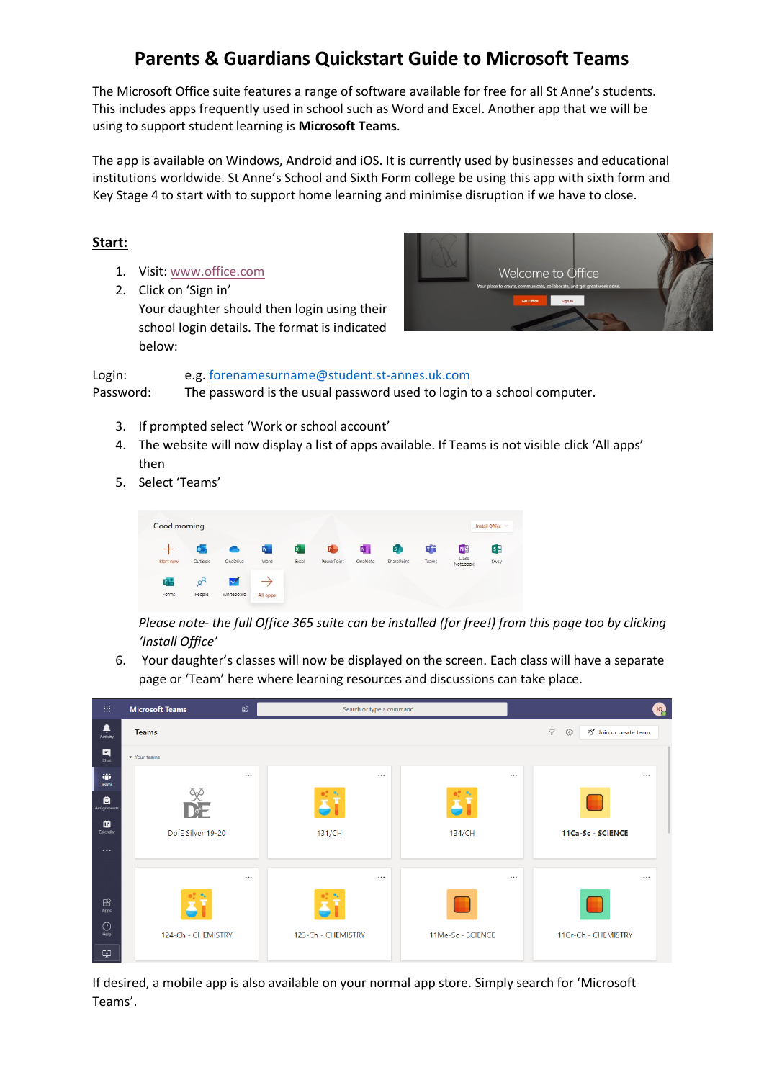# **Parents & Guardians Quickstart Guide to Microsoft Teams**

The Microsoft Office suite features a range of software available for free for all St Anne's students. This includes apps frequently used in school such as Word and Excel. Another app that we will be using to support student learning is **Microsoft Teams**.

The app is available on Windows, Android and iOS. It is currently used by businesses and educational institutions worldwide. St Anne's School and Sixth Form college be using this app with sixth form and Key Stage 4 to start with to support home learning and minimise disruption if we have to close.

## **Start:**

- 1. Visit[: www.office.com](http://www.office.com/)
- 2. Click on 'Sign in' Your daughter should then login using their school login details. The format is indicated below:



Login: e.g[. forenamesurname@student.st-annes.uk.com](mailto:forenamesurname@student.st-annes.uk.com) Password: The password is the usual password used to login to a school computer.

- 3. If prompted select 'Work or school account'
- 4. The website will now display a list of apps available. If Teams is not visible click 'All apps' then
- 5. Select 'Teams'

| <b>Good morning</b> |           |            |          |       |            |               |            |       |                            | Install Office V |
|---------------------|-----------|------------|----------|-------|------------|---------------|------------|-------|----------------------------|------------------|
|                     | $\circ$ . |            | W.       | X.    | <b>中。</b>  | $N_{\rm eff}$ | s,         | 啪     | N                          | $s_{\pm}$        |
| Start new           | Outlook   | OneDrive   | Word     | Excel | PowerPoint | OneNote       | SharePoint | Teams | Class<br>Notebook<br>----- | Sway             |
| F.                  |           | $\sim$     |          |       |            |               |            |       |                            |                  |
| Forms               | People    | Whiteboard | All apps |       |            |               |            |       |                            |                  |

*Please note- the full Office 365 suite can be installed (for free!) from this page too by clicking 'Install Office'*

6. Your daughter's classes will now be displayed on the screen. Each class will have a separate page or 'Team' here where learning resources and discussions can take place.

| 曲                      | <b>Microsoft Teams</b><br>$\mathbb Z$ |          | Search or type a command |                   | <b>UO<sub>C</sub></b>                                            |  |  |  |
|------------------------|---------------------------------------|----------|--------------------------|-------------------|------------------------------------------------------------------|--|--|--|
| ٠<br>Activity          | <b>Teams</b>                          |          |                          |                   | స్ట్ర<br>$\triangledown$<br>ยิซ <sup>+</sup> Join or create team |  |  |  |
| $\blacksquare$<br>Chat | v Your teams                          |          |                          |                   |                                                                  |  |  |  |
| W.<br>Teams            |                                       | $\cdots$ | $\cdots$                 | $\cdots$          | $\cdots$                                                         |  |  |  |
| â<br>Assignments       | $\frac{\infty}{\sum_{i=1}^{n}}$       |          |                          |                   |                                                                  |  |  |  |
| ▩<br>Calendar          | DofE Silver 19-20                     |          | 131/CH                   | 134/CH            | 11Ca-Sc - SCIENCE                                                |  |  |  |
| $\cdots$               |                                       |          |                          |                   |                                                                  |  |  |  |
|                        |                                       | $\cdots$ | $\cdots$                 | $\cdots$          | $\cdots$                                                         |  |  |  |
| $\boxplus$<br>Apps     |                                       |          |                          |                   | a.                                                               |  |  |  |
| $_{\odot}$<br>Help     | 124-Ch - CHEMISTRY                    |          | 123-Ch - CHEMISTRY       | 11Me-Sc - SCIENCE | 11Gr-Ch - CHEMISTRY                                              |  |  |  |
| ⊕                      |                                       |          |                          |                   |                                                                  |  |  |  |

If desired, a mobile app is also available on your normal app store. Simply search for 'Microsoft Teams'.